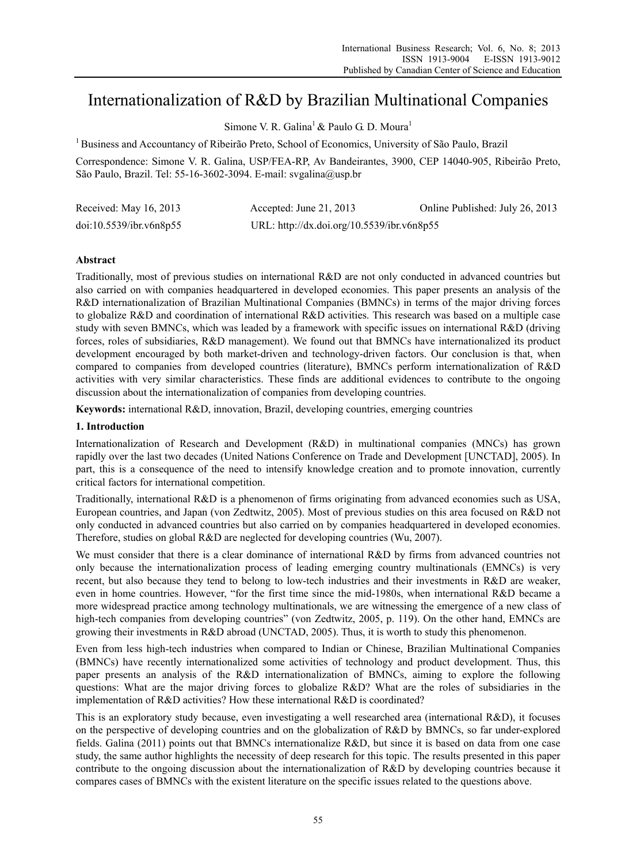# Internationalization of R&D by Brazilian Multinational Companies

Simone V. R. Galina<sup>1</sup> & Paulo G. D. Moura<sup>1</sup>

<sup>1</sup> Business and Accountancy of Ribeirão Preto, School of Economics, University of São Paulo, Brazil

Correspondence: Simone V. R. Galina, USP/FEA-RP, Av Bandeirantes, 3900, CEP 14040-905, Ribeirão Preto, São Paulo, Brazil. Tel: 55-16-3602-3094. E-mail: svgalina@usp.br

| Received: May 16, 2013  | Accepted: June 21, 2013                    | Online Published: July 26, 2013 |
|-------------------------|--------------------------------------------|---------------------------------|
| doi:10.5539/ibr.v6n8p55 | URL: http://dx.doi.org/10.5539/ibr.v6n8p55 |                                 |

# **Abstract**

Traditionally, most of previous studies on international R&D are not only conducted in advanced countries but also carried on with companies headquartered in developed economies. This paper presents an analysis of the R&D internationalization of Brazilian Multinational Companies (BMNCs) in terms of the major driving forces to globalize R&D and coordination of international R&D activities. This research was based on a multiple case study with seven BMNCs, which was leaded by a framework with specific issues on international R&D (driving forces, roles of subsidiaries, R&D management). We found out that BMNCs have internationalized its product development encouraged by both market-driven and technology-driven factors. Our conclusion is that, when compared to companies from developed countries (literature), BMNCs perform internationalization of R&D activities with very similar characteristics. These finds are additional evidences to contribute to the ongoing discussion about the internationalization of companies from developing countries.

**Keywords:** international R&D, innovation, Brazil, developing countries, emerging countries

# **1. Introduction**

Internationalization of Research and Development (R&D) in multinational companies (MNCs) has grown rapidly over the last two decades (United Nations Conference on Trade and Development [UNCTAD], 2005). In part, this is a consequence of the need to intensify knowledge creation and to promote innovation, currently critical factors for international competition.

Traditionally, international R&D is a phenomenon of firms originating from advanced economies such as USA, European countries, and Japan (von Zedtwitz, 2005). Most of previous studies on this area focused on R&D not only conducted in advanced countries but also carried on by companies headquartered in developed economies. Therefore, studies on global R&D are neglected for developing countries (Wu, 2007).

We must consider that there is a clear dominance of international R&D by firms from advanced countries not only because the internationalization process of leading emerging country multinationals (EMNCs) is very recent, but also because they tend to belong to low-tech industries and their investments in R&D are weaker, even in home countries. However, "for the first time since the mid-1980s, when international R&D became a more widespread practice among technology multinationals, we are witnessing the emergence of a new class of high-tech companies from developing countries" (von Zedtwitz, 2005, p. 119). On the other hand, EMNCs are growing their investments in R&D abroad (UNCTAD, 2005). Thus, it is worth to study this phenomenon.

Even from less high-tech industries when compared to Indian or Chinese, Brazilian Multinational Companies (BMNCs) have recently internationalized some activities of technology and product development. Thus, this paper presents an analysis of the R&D internationalization of BMNCs, aiming to explore the following questions: What are the major driving forces to globalize R&D? What are the roles of subsidiaries in the implementation of R&D activities? How these international R&D is coordinated?

This is an exploratory study because, even investigating a well researched area (international R&D), it focuses on the perspective of developing countries and on the globalization of R&D by BMNCs, so far under-explored fields. Galina (2011) points out that BMNCs internationalize R&D, but since it is based on data from one case study, the same author highlights the necessity of deep research for this topic. The results presented in this paper contribute to the ongoing discussion about the internationalization of R&D by developing countries because it compares cases of BMNCs with the existent literature on the specific issues related to the questions above.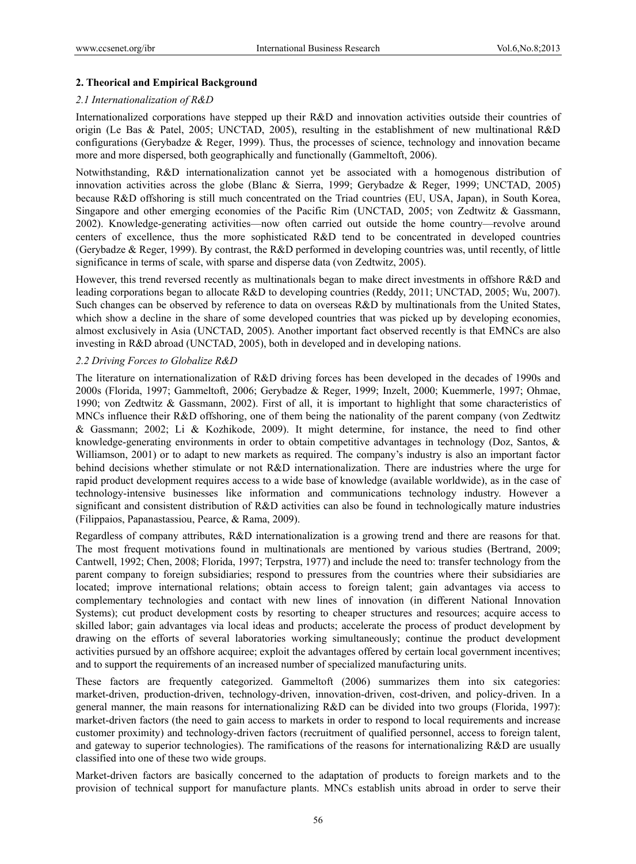# **2. Theorical and Empirical Background**

## *2.1 Internationalization of R&D*

Internationalized corporations have stepped up their R&D and innovation activities outside their countries of origin (Le Bas & Patel, 2005; UNCTAD, 2005), resulting in the establishment of new multinational R&D configurations (Gerybadze & Reger, 1999). Thus, the processes of science, technology and innovation became more and more dispersed, both geographically and functionally (Gammeltoft, 2006).

Notwithstanding, R&D internationalization cannot yet be associated with a homogenous distribution of innovation activities across the globe (Blanc & Sierra, 1999; Gerybadze & Reger, 1999; UNCTAD, 2005) because R&D offshoring is still much concentrated on the Triad countries (EU, USA, Japan), in South Korea, Singapore and other emerging economies of the Pacific Rim (UNCTAD, 2005; von Zedtwitz & Gassmann, 2002). Knowledge-generating activities—now often carried out outside the home country—revolve around centers of excellence, thus the more sophisticated R&D tend to be concentrated in developed countries (Gerybadze & Reger, 1999). By contrast, the R&D performed in developing countries was, until recently, of little significance in terms of scale, with sparse and disperse data (von Zedtwitz, 2005).

However, this trend reversed recently as multinationals began to make direct investments in offshore R&D and leading corporations began to allocate R&D to developing countries (Reddy, 2011; UNCTAD, 2005; Wu, 2007). Such changes can be observed by reference to data on overseas R&D by multinationals from the United States, which show a decline in the share of some developed countries that was picked up by developing economies, almost exclusively in Asia (UNCTAD, 2005). Another important fact observed recently is that EMNCs are also investing in R&D abroad (UNCTAD, 2005), both in developed and in developing nations.

# *2.2 Driving Forces to Globalize R&D*

The literature on internationalization of R&D driving forces has been developed in the decades of 1990s and 2000s (Florida, 1997; Gammeltoft, 2006; Gerybadze & Reger, 1999; Inzelt, 2000; Kuemmerle, 1997; Ohmae, 1990; von Zedtwitz & Gassmann, 2002). First of all, it is important to highlight that some characteristics of MNCs influence their R&D offshoring, one of them being the nationality of the parent company (von Zedtwitz & Gassmann; 2002; Li & Kozhikode, 2009). It might determine, for instance, the need to find other knowledge-generating environments in order to obtain competitive advantages in technology (Doz, Santos, & Williamson, 2001) or to adapt to new markets as required. The company's industry is also an important factor behind decisions whether stimulate or not R&D internationalization. There are industries where the urge for rapid product development requires access to a wide base of knowledge (available worldwide), as in the case of technology-intensive businesses like information and communications technology industry. However a significant and consistent distribution of R&D activities can also be found in technologically mature industries (Filippaios, Papanastassiou, Pearce, & Rama, 2009).

Regardless of company attributes, R&D internationalization is a growing trend and there are reasons for that. The most frequent motivations found in multinationals are mentioned by various studies (Bertrand, 2009; Cantwell, 1992; Chen, 2008; Florida, 1997; Terpstra, 1977) and include the need to: transfer technology from the parent company to foreign subsidiaries; respond to pressures from the countries where their subsidiaries are located; improve international relations; obtain access to foreign talent; gain advantages via access to complementary technologies and contact with new lines of innovation (in different National Innovation Systems); cut product development costs by resorting to cheaper structures and resources; acquire access to skilled labor; gain advantages via local ideas and products; accelerate the process of product development by drawing on the efforts of several laboratories working simultaneously; continue the product development activities pursued by an offshore acquiree; exploit the advantages offered by certain local government incentives; and to support the requirements of an increased number of specialized manufacturing units.

These factors are frequently categorized. Gammeltoft (2006) summarizes them into six categories: market-driven, production-driven, technology-driven, innovation-driven, cost-driven, and policy-driven. In a general manner, the main reasons for internationalizing R&D can be divided into two groups (Florida, 1997): market-driven factors (the need to gain access to markets in order to respond to local requirements and increase customer proximity) and technology-driven factors (recruitment of qualified personnel, access to foreign talent, and gateway to superior technologies). The ramifications of the reasons for internationalizing R&D are usually classified into one of these two wide groups.

Market-driven factors are basically concerned to the adaptation of products to foreign markets and to the provision of technical support for manufacture plants. MNCs establish units abroad in order to serve their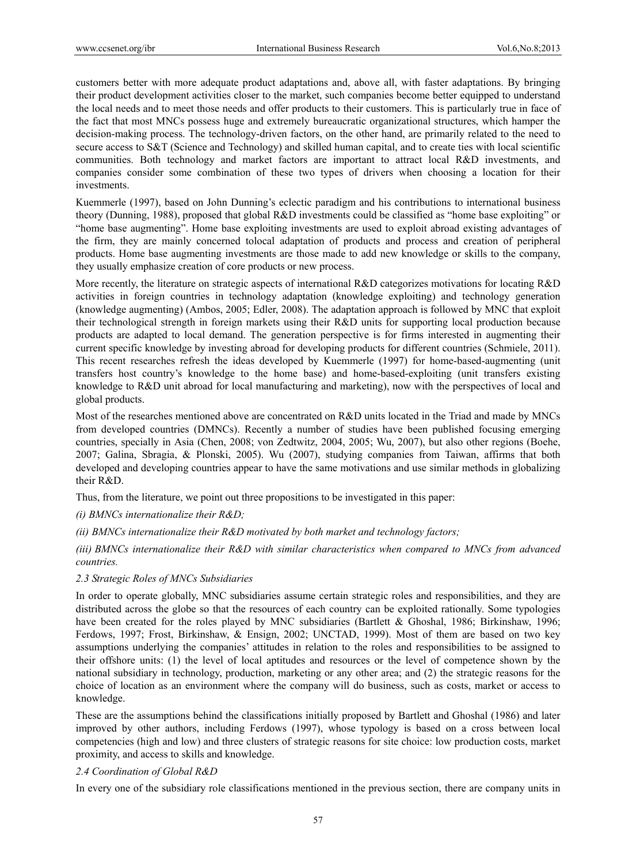customers better with more adequate product adaptations and, above all, with faster adaptations. By bringing their product development activities closer to the market, such companies become better equipped to understand the local needs and to meet those needs and offer products to their customers. This is particularly true in face of the fact that most MNCs possess huge and extremely bureaucratic organizational structures, which hamper the decision-making process. The technology-driven factors, on the other hand, are primarily related to the need to secure access to S&T (Science and Technology) and skilled human capital, and to create ties with local scientific communities. Both technology and market factors are important to attract local R&D investments, and companies consider some combination of these two types of drivers when choosing a location for their investments.

Kuemmerle (1997), based on John Dunning's eclectic paradigm and his contributions to international business theory (Dunning, 1988), proposed that global R&D investments could be classified as "home base exploiting" or "home base augmenting". Home base exploiting investments are used to exploit abroad existing advantages of the firm, they are mainly concerned tolocal adaptation of products and process and creation of peripheral products. Home base augmenting investments are those made to add new knowledge or skills to the company, they usually emphasize creation of core products or new process.

More recently, the literature on strategic aspects of international R&D categorizes motivations for locating R&D activities in foreign countries in technology adaptation (knowledge exploiting) and technology generation (knowledge augmenting) (Ambos, 2005; Edler, 2008). The adaptation approach is followed by MNC that exploit their technological strength in foreign markets using their R&D units for supporting local production because products are adapted to local demand. The generation perspective is for firms interested in augmenting their current specific knowledge by investing abroad for developing products for different countries (Schmiele, 2011). This recent researches refresh the ideas developed by Kuemmerle (1997) for home-based-augmenting (unit transfers host country's knowledge to the home base) and home-based-exploiting (unit transfers existing knowledge to R&D unit abroad for local manufacturing and marketing), now with the perspectives of local and global products.

Most of the researches mentioned above are concentrated on R&D units located in the Triad and made by MNCs from developed countries (DMNCs). Recently a number of studies have been published focusing emerging countries, specially in Asia (Chen, 2008; von Zedtwitz, 2004, 2005; Wu, 2007), but also other regions (Boehe, 2007; Galina, Sbragia, & Plonski, 2005). Wu (2007), studying companies from Taiwan, affirms that both developed and developing countries appear to have the same motivations and use similar methods in globalizing their R&D.

Thus, from the literature, we point out three propositions to be investigated in this paper:

*(i) BMNCs internationalize their R&D;* 

*(ii) BMNCs internationalize their R&D motivated by both market and technology factors;* 

*(iii) BMNCs internationalize their R&D with similar characteristics when compared to MNCs from advanced countries.* 

# *2.3 Strategic Roles of MNCs Subsidiaries*

In order to operate globally, MNC subsidiaries assume certain strategic roles and responsibilities, and they are distributed across the globe so that the resources of each country can be exploited rationally. Some typologies have been created for the roles played by MNC subsidiaries (Bartlett & Ghoshal, 1986; Birkinshaw, 1996; Ferdows, 1997; Frost, Birkinshaw, & Ensign, 2002; UNCTAD, 1999). Most of them are based on two key assumptions underlying the companies' attitudes in relation to the roles and responsibilities to be assigned to their offshore units: (1) the level of local aptitudes and resources or the level of competence shown by the national subsidiary in technology, production, marketing or any other area; and (2) the strategic reasons for the choice of location as an environment where the company will do business, such as costs, market or access to knowledge.

These are the assumptions behind the classifications initially proposed by Bartlett and Ghoshal (1986) and later improved by other authors, including Ferdows (1997), whose typology is based on a cross between local competencies (high and low) and three clusters of strategic reasons for site choice: low production costs, market proximity, and access to skills and knowledge.

### *2.4 Coordination of Global R&D*

In every one of the subsidiary role classifications mentioned in the previous section, there are company units in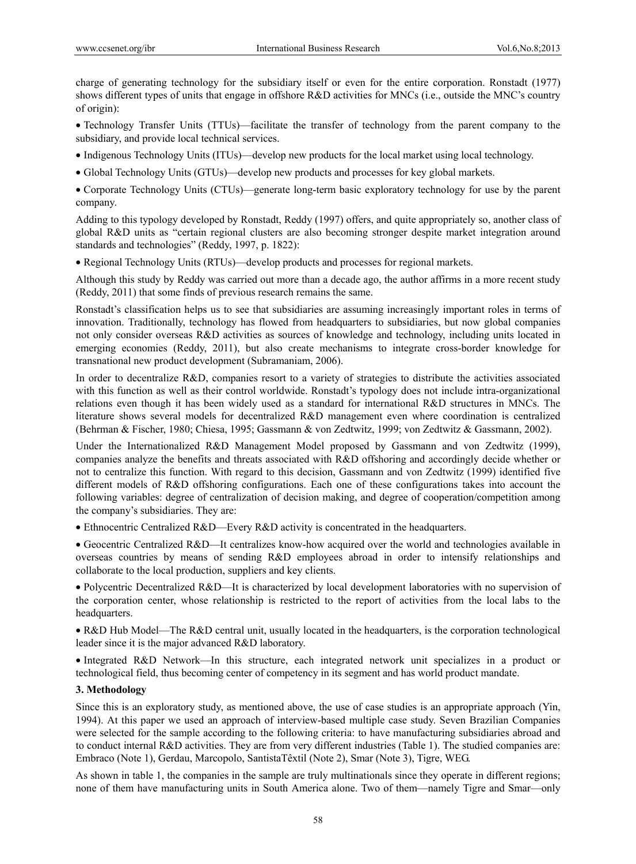charge of generating technology for the subsidiary itself or even for the entire corporation. Ronstadt (1977) shows different types of units that engage in offshore R&D activities for MNCs (i.e., outside the MNC's country of origin):

 Technology Transfer Units (TTUs)—facilitate the transfer of technology from the parent company to the subsidiary, and provide local technical services.

- Indigenous Technology Units (ITUs)—develop new products for the local market using local technology.
- Global Technology Units (GTUs)—develop new products and processes for key global markets.

 Corporate Technology Units (CTUs)—generate long-term basic exploratory technology for use by the parent company.

Adding to this typology developed by Ronstadt, Reddy (1997) offers, and quite appropriately so, another class of global R&D units as "certain regional clusters are also becoming stronger despite market integration around standards and technologies" (Reddy, 1997, p. 1822):

Regional Technology Units (RTUs)—develop products and processes for regional markets.

Although this study by Reddy was carried out more than a decade ago, the author affirms in a more recent study (Reddy, 2011) that some finds of previous research remains the same.

Ronstadt's classification helps us to see that subsidiaries are assuming increasingly important roles in terms of innovation. Traditionally, technology has flowed from headquarters to subsidiaries, but now global companies not only consider overseas R&D activities as sources of knowledge and technology, including units located in emerging economies (Reddy, 2011), but also create mechanisms to integrate cross-border knowledge for transnational new product development (Subramaniam, 2006).

In order to decentralize R&D, companies resort to a variety of strategies to distribute the activities associated with this function as well as their control worldwide. Ronstadt's typology does not include intra-organizational relations even though it has been widely used as a standard for international R&D structures in MNCs. The literature shows several models for decentralized R&D management even where coordination is centralized (Behrman & Fischer, 1980; Chiesa, 1995; Gassmann & von Zedtwitz, 1999; von Zedtwitz & Gassmann, 2002).

Under the Internationalized R&D Management Model proposed by Gassmann and von Zedtwitz (1999), companies analyze the benefits and threats associated with R&D offshoring and accordingly decide whether or not to centralize this function. With regard to this decision, Gassmann and von Zedtwitz (1999) identified five different models of R&D offshoring configurations. Each one of these configurations takes into account the following variables: degree of centralization of decision making, and degree of cooperation/competition among the company's subsidiaries. They are:

Ethnocentric Centralized R&D—Every R&D activity is concentrated in the headquarters.

 Geocentric Centralized R&D—It centralizes know-how acquired over the world and technologies available in overseas countries by means of sending R&D employees abroad in order to intensify relationships and collaborate to the local production, suppliers and key clients.

 Polycentric Decentralized R&D—It is characterized by local development laboratories with no supervision of the corporation center, whose relationship is restricted to the report of activities from the local labs to the headquarters.

• R&D Hub Model—The R&D central unit, usually located in the headquarters, is the corporation technological leader since it is the major advanced R&D laboratory.

 Integrated R&D Network—In this structure, each integrated network unit specializes in a product or technological field, thus becoming center of competency in its segment and has world product mandate.

# **3. Methodology**

Since this is an exploratory study, as mentioned above, the use of case studies is an appropriate approach (Yin, 1994). At this paper we used an approach of interview-based multiple case study. Seven Brazilian Companies were selected for the sample according to the following criteria: to have manufacturing subsidiaries abroad and to conduct internal R&D activities. They are from very different industries (Table 1). The studied companies are: Embraco (Note 1), Gerdau, Marcopolo, SantistaTêxtil (Note 2), Smar (Note 3), Tigre, WEG.

As shown in table 1, the companies in the sample are truly multinationals since they operate in different regions; none of them have manufacturing units in South America alone. Two of them—namely Tigre and Smar—only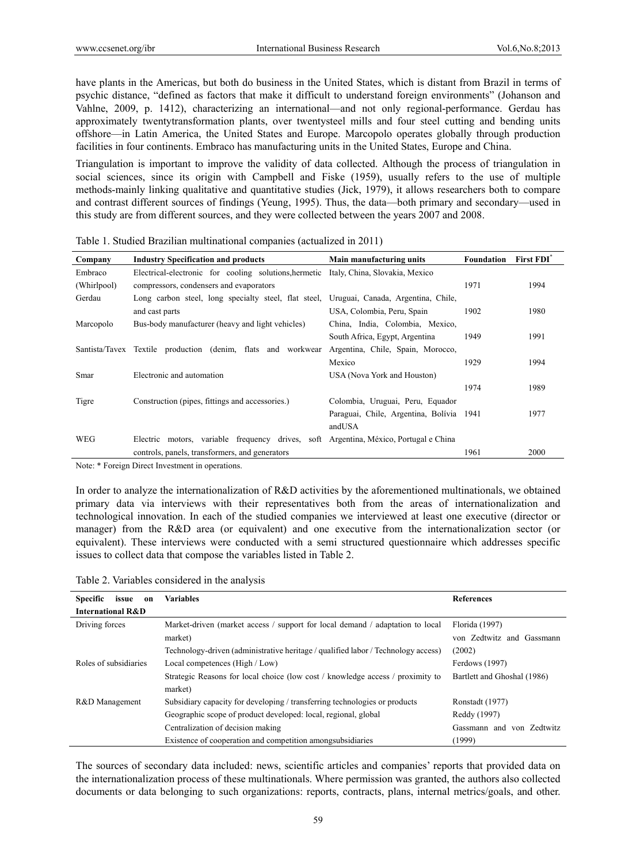have plants in the Americas, but both do business in the United States, which is distant from Brazil in terms of psychic distance, "defined as factors that make it difficult to understand foreign environments" (Johanson and Vahlne, 2009, p. 1412), characterizing an international—and not only regional-performance. Gerdau has approximately twentytransformation plants, over twentysteel mills and four steel cutting and bending units offshore—in Latin America, the United States and Europe. Marcopolo operates globally through production facilities in four continents. Embraco has manufacturing units in the United States, Europe and China.

Triangulation is important to improve the validity of data collected. Although the process of triangulation in social sciences, since its origin with Campbell and Fiske (1959), usually refers to the use of multiple methods-mainly linking qualitative and quantitative studies (Jick, 1979), it allows researchers both to compare and contrast different sources of findings (Yeung, 1995). Thus, the data—both primary and secondary—used in this study are from different sources, and they were collected between the years 2007 and 2008.

| Company     | <b>Industry Specification and products</b>                                           | Main manufacturing units                 | <b>Foundation</b> | First FDI <sup>*</sup> |
|-------------|--------------------------------------------------------------------------------------|------------------------------------------|-------------------|------------------------|
| Embraco     | Electrical-electronic for cooling solutions, hermetic Italy, China, Slovakia, Mexico |                                          |                   |                        |
| (Whirlpool) | compressors, condensers and evaporators                                              |                                          | 1971              | 1994                   |
| Gerdau      | Long carbon steel, long specialty steel, flat steel,                                 | Uruguai, Canada, Argentina, Chile,       |                   |                        |
|             | and cast parts                                                                       | USA, Colombia, Peru, Spain               | 1902              | 1980                   |
| Marcopolo   | Bus-body manufacturer (heavy and light vehicles)                                     | China, India, Colombia, Mexico,          |                   |                        |
|             |                                                                                      | South Africa, Egypt, Argentina           | 1949              | 1991                   |
|             | Santista/Tavex Textile production (denim, flats and workwear                         | Argentina, Chile, Spain, Morocco,        |                   |                        |
|             |                                                                                      | Mexico                                   | 1929              | 1994                   |
| Smar        | Electronic and automation                                                            | USA (Nova York and Houston)              |                   |                        |
|             |                                                                                      |                                          | 1974              | 1989                   |
| Tigre       | Construction (pipes, fittings and accessories.)                                      | Colombia, Uruguai, Peru, Equador         |                   |                        |
|             |                                                                                      | Paraguai, Chile, Argentina, Bolívia 1941 |                   | 1977                   |
|             |                                                                                      | andUSA                                   |                   |                        |
| <b>WEG</b>  | Electric motors, variable frequency drives, soft Argentina, México, Portugal e China |                                          |                   |                        |
|             | controls, panels, transformers, and generators                                       |                                          | 1961              | 2000                   |

| Table 1. Studied Brazilian multinational companies (actualized in 2011) |  |  |  |
|-------------------------------------------------------------------------|--|--|--|
|-------------------------------------------------------------------------|--|--|--|

Note: \* Foreign Direct Investment in operations.

In order to analyze the internationalization of R&D activities by the aforementioned multinationals, we obtained primary data via interviews with their representatives both from the areas of internationalization and technological innovation. In each of the studied companies we interviewed at least one executive (director or manager) from the R&D area (or equivalent) and one executive from the internationalization sector (or equivalent). These interviews were conducted with a semi structured questionnaire which addresses specific issues to collect data that compose the variables listed in Table 2.

|  |  | Table 2. Variables considered in the analysis |  |  |  |
|--|--|-----------------------------------------------|--|--|--|
|--|--|-----------------------------------------------|--|--|--|

| <b>Specific</b><br>issue<br>on | <b>Variables</b>                                                                  | <b>References</b>           |
|--------------------------------|-----------------------------------------------------------------------------------|-----------------------------|
| <b>International R&amp;D</b>   |                                                                                   |                             |
| Driving forces                 | Market-driven (market access / support for local demand / adaptation to local     | Florida (1997)              |
|                                | market)                                                                           | von Zedtwitz and Gassmann   |
|                                | Technology-driven (administrative heritage / qualified labor / Technology access) | (2002)                      |
| Roles of subsidiaries          | Local competences (High / Low)                                                    | Ferdows (1997)              |
|                                | Strategic Reasons for local choice (low cost / knowledge access / proximity to    | Bartlett and Ghoshal (1986) |
|                                | market)                                                                           |                             |
| R&D Management                 | Subsidiary capacity for developing / transferring technologies or products        | Ronstadt (1977)             |
|                                | Geographic scope of product developed: local, regional, global                    | Reddy (1997)                |
|                                | Centralization of decision making                                                 | Gassmann and von Zedtwitz   |
|                                | Existence of cooperation and competition amongsubsidiaries                        | (1999)                      |

The sources of secondary data included: news, scientific articles and companies' reports that provided data on the internationalization process of these multinationals. Where permission was granted, the authors also collected documents or data belonging to such organizations: reports, contracts, plans, internal metrics/goals, and other.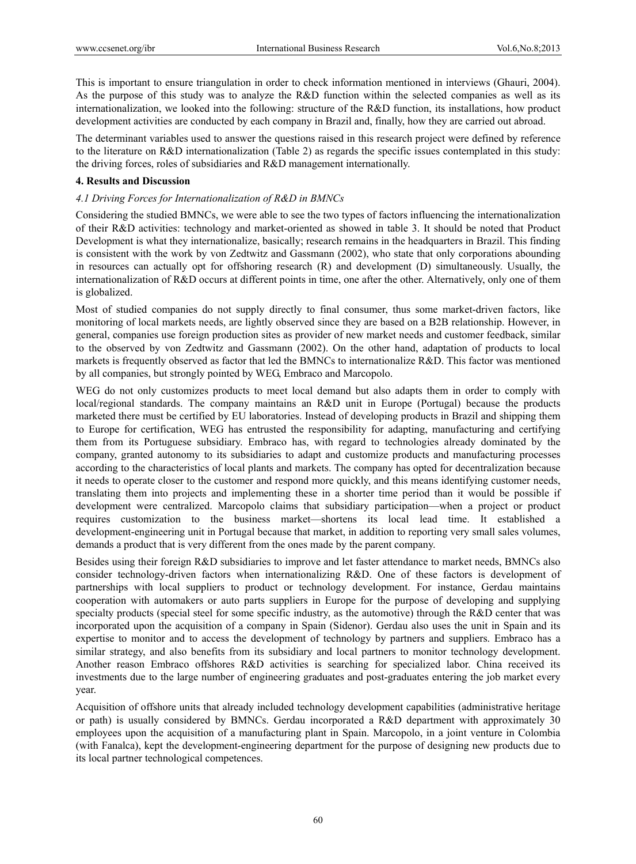This is important to ensure triangulation in order to check information mentioned in interviews (Ghauri, 2004). As the purpose of this study was to analyze the R&D function within the selected companies as well as its internationalization, we looked into the following: structure of the R&D function, its installations, how product development activities are conducted by each company in Brazil and, finally, how they are carried out abroad.

The determinant variables used to answer the questions raised in this research project were defined by reference to the literature on R&D internationalization (Table 2) as regards the specific issues contemplated in this study: the driving forces, roles of subsidiaries and R&D management internationally.

# **4. Results and Discussion**

# *4.1 Driving Forces for Internationalization of R&D in BMNCs*

Considering the studied BMNCs, we were able to see the two types of factors influencing the internationalization of their R&D activities: technology and market-oriented as showed in table 3. It should be noted that Product Development is what they internationalize, basically; research remains in the headquarters in Brazil. This finding is consistent with the work by von Zedtwitz and Gassmann (2002), who state that only corporations abounding in resources can actually opt for offshoring research (R) and development (D) simultaneously. Usually, the internationalization of R&D occurs at different points in time, one after the other. Alternatively, only one of them is globalized.

Most of studied companies do not supply directly to final consumer, thus some market-driven factors, like monitoring of local markets needs, are lightly observed since they are based on a B2B relationship. However, in general, companies use foreign production sites as provider of new market needs and customer feedback, similar to the observed by von Zedtwitz and Gassmann (2002). On the other hand, adaptation of products to local markets is frequently observed as factor that led the BMNCs to internationalize R&D. This factor was mentioned by all companies, but strongly pointed by WEG, Embraco and Marcopolo.

WEG do not only customizes products to meet local demand but also adapts them in order to comply with local/regional standards. The company maintains an R&D unit in Europe (Portugal) because the products marketed there must be certified by EU laboratories. Instead of developing products in Brazil and shipping them to Europe for certification, WEG has entrusted the responsibility for adapting, manufacturing and certifying them from its Portuguese subsidiary. Embraco has, with regard to technologies already dominated by the company, granted autonomy to its subsidiaries to adapt and customize products and manufacturing processes according to the characteristics of local plants and markets. The company has opted for decentralization because it needs to operate closer to the customer and respond more quickly, and this means identifying customer needs, translating them into projects and implementing these in a shorter time period than it would be possible if development were centralized. Marcopolo claims that subsidiary participation—when a project or product requires customization to the business market—shortens its local lead time. It established a development-engineering unit in Portugal because that market, in addition to reporting very small sales volumes, demands a product that is very different from the ones made by the parent company.

Besides using their foreign R&D subsidiaries to improve and let faster attendance to market needs, BMNCs also consider technology-driven factors when internationalizing R&D. One of these factors is development of partnerships with local suppliers to product or technology development. For instance, Gerdau maintains cooperation with automakers or auto parts suppliers in Europe for the purpose of developing and supplying specialty products (special steel for some specific industry, as the automotive) through the R&D center that was incorporated upon the acquisition of a company in Spain (Sidenor). Gerdau also uses the unit in Spain and its expertise to monitor and to access the development of technology by partners and suppliers. Embraco has a similar strategy, and also benefits from its subsidiary and local partners to monitor technology development. Another reason Embraco offshores R&D activities is searching for specialized labor. China received its investments due to the large number of engineering graduates and post-graduates entering the job market every year.

Acquisition of offshore units that already included technology development capabilities (administrative heritage or path) is usually considered by BMNCs. Gerdau incorporated a R&D department with approximately 30 employees upon the acquisition of a manufacturing plant in Spain. Marcopolo, in a joint venture in Colombia (with Fanalca), kept the development-engineering department for the purpose of designing new products due to its local partner technological competences.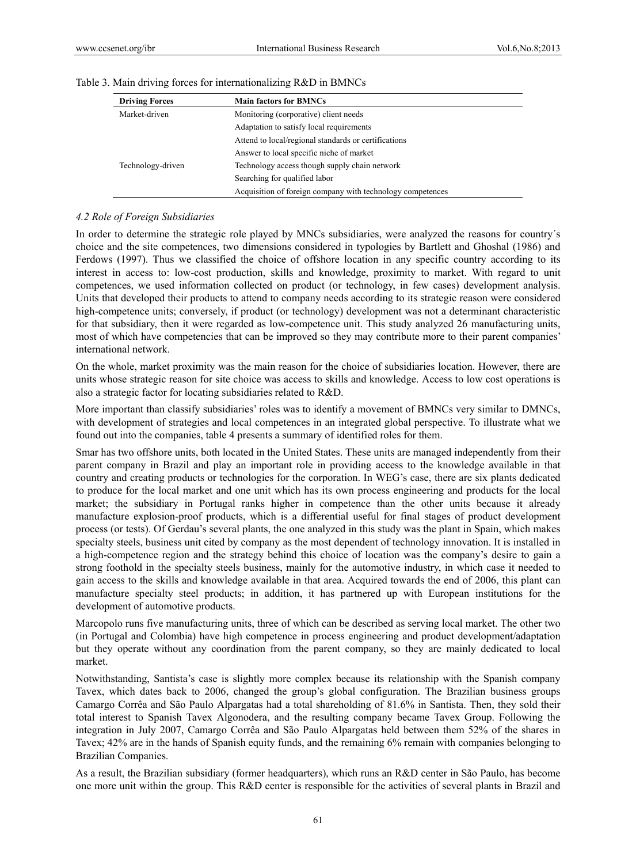| <b>Driving Forces</b> | <b>Main factors for BMNCs</b>                              |
|-----------------------|------------------------------------------------------------|
| Market-driven         | Monitoring (corporative) client needs                      |
|                       | Adaptation to satisfy local requirements                   |
|                       | Attend to local/regional standards or certifications       |
|                       | Answer to local specific niche of market                   |
| Technology-driven     | Technology access though supply chain network              |
|                       | Searching for qualified labor                              |
|                       | Acquisition of foreign company with technology competences |

#### Table 3. Main driving forces for internationalizing R&D in BMNCs

#### *4.2 Role of Foreign Subsidiaries*

In order to determine the strategic role played by MNCs subsidiaries, were analyzed the reasons for country´s choice and the site competences, two dimensions considered in typologies by Bartlett and Ghoshal (1986) and Ferdows (1997). Thus we classified the choice of offshore location in any specific country according to its interest in access to: low-cost production, skills and knowledge, proximity to market. With regard to unit competences, we used information collected on product (or technology, in few cases) development analysis. Units that developed their products to attend to company needs according to its strategic reason were considered high-competence units; conversely, if product (or technology) development was not a determinant characteristic for that subsidiary, then it were regarded as low-competence unit. This study analyzed 26 manufacturing units, most of which have competencies that can be improved so they may contribute more to their parent companies' international network.

On the whole, market proximity was the main reason for the choice of subsidiaries location. However, there are units whose strategic reason for site choice was access to skills and knowledge. Access to low cost operations is also a strategic factor for locating subsidiaries related to R&D.

More important than classify subsidiaries' roles was to identify a movement of BMNCs very similar to DMNCs, with development of strategies and local competences in an integrated global perspective. To illustrate what we found out into the companies, table 4 presents a summary of identified roles for them.

Smar has two offshore units, both located in the United States. These units are managed independently from their parent company in Brazil and play an important role in providing access to the knowledge available in that country and creating products or technologies for the corporation. In WEG's case, there are six plants dedicated to produce for the local market and one unit which has its own process engineering and products for the local market; the subsidiary in Portugal ranks higher in competence than the other units because it already manufacture explosion-proof products, which is a differential useful for final stages of product development process (or tests). Of Gerdau's several plants, the one analyzed in this study was the plant in Spain, which makes specialty steels, business unit cited by company as the most dependent of technology innovation. It is installed in a high-competence region and the strategy behind this choice of location was the company's desire to gain a strong foothold in the specialty steels business, mainly for the automotive industry, in which case it needed to gain access to the skills and knowledge available in that area. Acquired towards the end of 2006, this plant can manufacture specialty steel products; in addition, it has partnered up with European institutions for the development of automotive products.

Marcopolo runs five manufacturing units, three of which can be described as serving local market. The other two (in Portugal and Colombia) have high competence in process engineering and product development/adaptation but they operate without any coordination from the parent company, so they are mainly dedicated to local market.

Notwithstanding, Santista's case is slightly more complex because its relationship with the Spanish company Tavex, which dates back to 2006, changed the group's global configuration. The Brazilian business groups Camargo Corrêa and São Paulo Alpargatas had a total shareholding of 81.6% in Santista. Then, they sold their total interest to Spanish Tavex Algonodera, and the resulting company became Tavex Group. Following the integration in July 2007, Camargo Corrêa and São Paulo Alpargatas held between them 52% of the shares in Tavex; 42% are in the hands of Spanish equity funds, and the remaining 6% remain with companies belonging to Brazilian Companies.

As a result, the Brazilian subsidiary (former headquarters), which runs an R&D center in São Paulo, has become one more unit within the group. This R&D center is responsible for the activities of several plants in Brazil and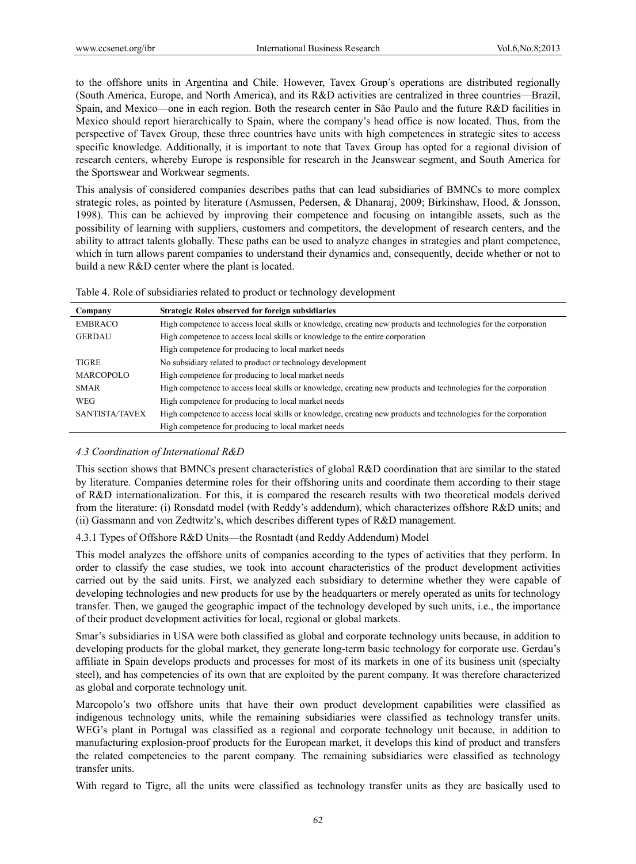to the offshore units in Argentina and Chile. However, Tavex Group's operations are distributed regionally (South America, Europe, and North America), and its R&D activities are centralized in three countries—Brazil, Spain, and Mexico—one in each region. Both the research center in São Paulo and the future R&D facilities in Mexico should report hierarchically to Spain, where the company's head office is now located. Thus, from the perspective of Tavex Group, these three countries have units with high competences in strategic sites to access specific knowledge. Additionally, it is important to note that Tavex Group has opted for a regional division of research centers, whereby Europe is responsible for research in the Jeanswear segment, and South America for the Sportswear and Workwear segments.

This analysis of considered companies describes paths that can lead subsidiaries of BMNCs to more complex strategic roles, as pointed by literature (Asmussen, Pedersen, & Dhanaraj, 2009; Birkinshaw, Hood, & Jonsson, 1998). This can be achieved by improving their competence and focusing on intangible assets, such as the possibility of learning with suppliers, customers and competitors, the development of research centers, and the ability to attract talents globally. These paths can be used to analyze changes in strategies and plant competence, which in turn allows parent companies to understand their dynamics and, consequently, decide whether or not to build a new R&D center where the plant is located.

Table 4. Role of subsidiaries related to product or technology development

| Company          | <b>Strategic Roles observed for foreign subsidiaries</b>                                                        |
|------------------|-----------------------------------------------------------------------------------------------------------------|
| <b>EMBRACO</b>   | High competence to access local skills or knowledge, creating new products and technologies for the corporation |
| <b>GERDAU</b>    | High competence to access local skills or knowledge to the entire corporation                                   |
|                  | High competence for producing to local market needs                                                             |
| <b>TIGRE</b>     | No subsidiary related to product or technology development                                                      |
| <b>MARCOPOLO</b> | High competence for producing to local market needs                                                             |
| <b>SMAR</b>      | High competence to access local skills or knowledge, creating new products and technologies for the corporation |
| <b>WEG</b>       | High competence for producing to local market needs                                                             |
| SANTISTA/TAVEX   | High competence to access local skills or knowledge, creating new products and technologies for the corporation |
|                  | High competence for producing to local market needs                                                             |

#### *4.3 Coordination of International R&D*

This section shows that BMNCs present characteristics of global R&D coordination that are similar to the stated by literature. Companies determine roles for their offshoring units and coordinate them according to their stage of R&D internationalization. For this, it is compared the research results with two theoretical models derived from the literature: (i) Ronsdatd model (with Reddy's addendum), which characterizes offshore R&D units; and (ii) Gassmann and von Zedtwitz's, which describes different types of R&D management.

4.3.1 Types of Offshore R&D Units—the Rosntadt (and Reddy Addendum) Model

This model analyzes the offshore units of companies according to the types of activities that they perform. In order to classify the case studies, we took into account characteristics of the product development activities carried out by the said units. First, we analyzed each subsidiary to determine whether they were capable of developing technologies and new products for use by the headquarters or merely operated as units for technology transfer. Then, we gauged the geographic impact of the technology developed by such units, i.e., the importance of their product development activities for local, regional or global markets.

Smar's subsidiaries in USA were both classified as global and corporate technology units because, in addition to developing products for the global market, they generate long-term basic technology for corporate use. Gerdau's affiliate in Spain develops products and processes for most of its markets in one of its business unit (specialty steel), and has competencies of its own that are exploited by the parent company. It was therefore characterized as global and corporate technology unit.

Marcopolo's two offshore units that have their own product development capabilities were classified as indigenous technology units, while the remaining subsidiaries were classified as technology transfer units. WEG's plant in Portugal was classified as a regional and corporate technology unit because, in addition to manufacturing explosion-proof products for the European market, it develops this kind of product and transfers the related competencies to the parent company. The remaining subsidiaries were classified as technology transfer units.

With regard to Tigre, all the units were classified as technology transfer units as they are basically used to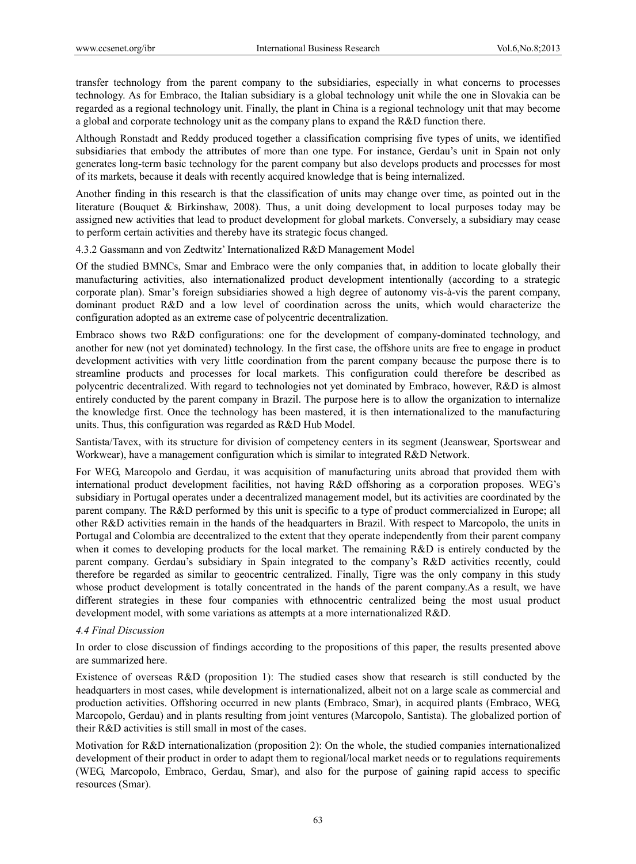transfer technology from the parent company to the subsidiaries, especially in what concerns to processes technology. As for Embraco, the Italian subsidiary is a global technology unit while the one in Slovakia can be regarded as a regional technology unit. Finally, the plant in China is a regional technology unit that may become a global and corporate technology unit as the company plans to expand the R&D function there.

Although Ronstadt and Reddy produced together a classification comprising five types of units, we identified subsidiaries that embody the attributes of more than one type. For instance, Gerdau's unit in Spain not only generates long-term basic technology for the parent company but also develops products and processes for most of its markets, because it deals with recently acquired knowledge that is being internalized.

Another finding in this research is that the classification of units may change over time, as pointed out in the literature (Bouquet & Birkinshaw, 2008). Thus, a unit doing development to local purposes today may be assigned new activities that lead to product development for global markets. Conversely, a subsidiary may cease to perform certain activities and thereby have its strategic focus changed.

4.3.2 Gassmann and von Zedtwitz' Internationalized R&D Management Model

Of the studied BMNCs, Smar and Embraco were the only companies that, in addition to locate globally their manufacturing activities, also internationalized product development intentionally (according to a strategic corporate plan). Smar's foreign subsidiaries showed a high degree of autonomy vis-à-vis the parent company, dominant product R&D and a low level of coordination across the units, which would characterize the configuration adopted as an extreme case of polycentric decentralization.

Embraco shows two R&D configurations: one for the development of company-dominated technology, and another for new (not yet dominated) technology. In the first case, the offshore units are free to engage in product development activities with very little coordination from the parent company because the purpose there is to streamline products and processes for local markets. This configuration could therefore be described as polycentric decentralized. With regard to technologies not yet dominated by Embraco, however, R&D is almost entirely conducted by the parent company in Brazil. The purpose here is to allow the organization to internalize the knowledge first. Once the technology has been mastered, it is then internationalized to the manufacturing units. Thus, this configuration was regarded as R&D Hub Model.

Santista/Tavex, with its structure for division of competency centers in its segment (Jeanswear, Sportswear and Workwear), have a management configuration which is similar to integrated R&D Network.

For WEG, Marcopolo and Gerdau, it was acquisition of manufacturing units abroad that provided them with international product development facilities, not having R&D offshoring as a corporation proposes. WEG's subsidiary in Portugal operates under a decentralized management model, but its activities are coordinated by the parent company. The R&D performed by this unit is specific to a type of product commercialized in Europe; all other R&D activities remain in the hands of the headquarters in Brazil. With respect to Marcopolo, the units in Portugal and Colombia are decentralized to the extent that they operate independently from their parent company when it comes to developing products for the local market. The remaining R&D is entirely conducted by the parent company. Gerdau's subsidiary in Spain integrated to the company's R&D activities recently, could therefore be regarded as similar to geocentric centralized. Finally, Tigre was the only company in this study whose product development is totally concentrated in the hands of the parent company.As a result, we have different strategies in these four companies with ethnocentric centralized being the most usual product development model, with some variations as attempts at a more internationalized R&D.

# *4.4 Final Discussion*

In order to close discussion of findings according to the propositions of this paper, the results presented above are summarized here.

Existence of overseas R&D (proposition 1): The studied cases show that research is still conducted by the headquarters in most cases, while development is internationalized, albeit not on a large scale as commercial and production activities. Offshoring occurred in new plants (Embraco, Smar), in acquired plants (Embraco, WEG, Marcopolo, Gerdau) and in plants resulting from joint ventures (Marcopolo, Santista). The globalized portion of their R&D activities is still small in most of the cases.

Motivation for R&D internationalization (proposition 2): On the whole, the studied companies internationalized development of their product in order to adapt them to regional/local market needs or to regulations requirements (WEG, Marcopolo, Embraco, Gerdau, Smar), and also for the purpose of gaining rapid access to specific resources (Smar).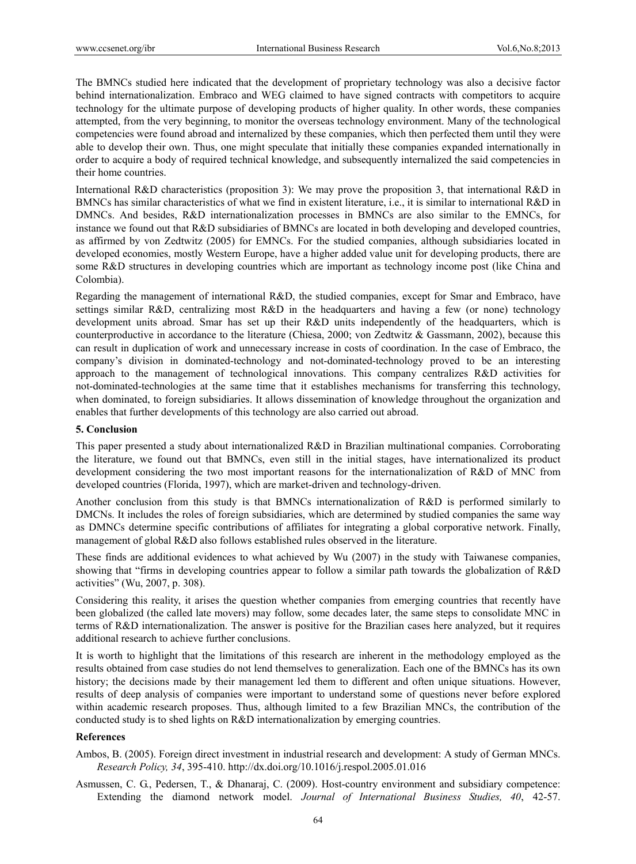The BMNCs studied here indicated that the development of proprietary technology was also a decisive factor behind internationalization. Embraco and WEG claimed to have signed contracts with competitors to acquire technology for the ultimate purpose of developing products of higher quality. In other words, these companies attempted, from the very beginning, to monitor the overseas technology environment. Many of the technological competencies were found abroad and internalized by these companies, which then perfected them until they were able to develop their own. Thus, one might speculate that initially these companies expanded internationally in order to acquire a body of required technical knowledge, and subsequently internalized the said competencies in their home countries.

International R&D characteristics (proposition 3): We may prove the proposition 3, that international R&D in BMNCs has similar characteristics of what we find in existent literature, i.e., it is similar to international R&D in DMNCs. And besides, R&D internationalization processes in BMNCs are also similar to the EMNCs, for instance we found out that R&D subsidiaries of BMNCs are located in both developing and developed countries, as affirmed by von Zedtwitz (2005) for EMNCs. For the studied companies, although subsidiaries located in developed economies, mostly Western Europe, have a higher added value unit for developing products, there are some R&D structures in developing countries which are important as technology income post (like China and Colombia).

Regarding the management of international R&D, the studied companies, except for Smar and Embraco, have settings similar R&D, centralizing most R&D in the headquarters and having a few (or none) technology development units abroad. Smar has set up their R&D units independently of the headquarters, which is counterproductive in accordance to the literature (Chiesa, 2000; von Zedtwitz & Gassmann, 2002), because this can result in duplication of work and unnecessary increase in costs of coordination. In the case of Embraco, the company's division in dominated-technology and not-dominated-technology proved to be an interesting approach to the management of technological innovations. This company centralizes R&D activities for not-dominated-technologies at the same time that it establishes mechanisms for transferring this technology, when dominated, to foreign subsidiaries. It allows dissemination of knowledge throughout the organization and enables that further developments of this technology are also carried out abroad.

# **5. Conclusion**

This paper presented a study about internationalized R&D in Brazilian multinational companies. Corroborating the literature, we found out that BMNCs, even still in the initial stages, have internationalized its product development considering the two most important reasons for the internationalization of R&D of MNC from developed countries (Florida, 1997), which are market-driven and technology-driven.

Another conclusion from this study is that BMNCs internationalization of R&D is performed similarly to DMCNs. It includes the roles of foreign subsidiaries, which are determined by studied companies the same way as DMNCs determine specific contributions of affiliates for integrating a global corporative network. Finally, management of global R&D also follows established rules observed in the literature.

These finds are additional evidences to what achieved by Wu (2007) in the study with Taiwanese companies, showing that "firms in developing countries appear to follow a similar path towards the globalization of R&D activities" (Wu, 2007, p. 308).

Considering this reality, it arises the question whether companies from emerging countries that recently have been globalized (the called late movers) may follow, some decades later, the same steps to consolidate MNC in terms of R&D internationalization. The answer is positive for the Brazilian cases here analyzed, but it requires additional research to achieve further conclusions.

It is worth to highlight that the limitations of this research are inherent in the methodology employed as the results obtained from case studies do not lend themselves to generalization. Each one of the BMNCs has its own history; the decisions made by their management led them to different and often unique situations. However, results of deep analysis of companies were important to understand some of questions never before explored within academic research proposes. Thus, although limited to a few Brazilian MNCs, the contribution of the conducted study is to shed lights on R&D internationalization by emerging countries.

# **References**

- Ambos, B. (2005). Foreign direct investment in industrial research and development: A study of German MNCs. *Research Policy, 34*, 395-410. http://dx.doi.org/10.1016/j.respol.2005.01.016
- Asmussen, C. G., Pedersen, T., & Dhanaraj, C. (2009). Host-country environment and subsidiary competence: Extending the diamond network model. *Journal of International Business Studies, 40*, 42-57.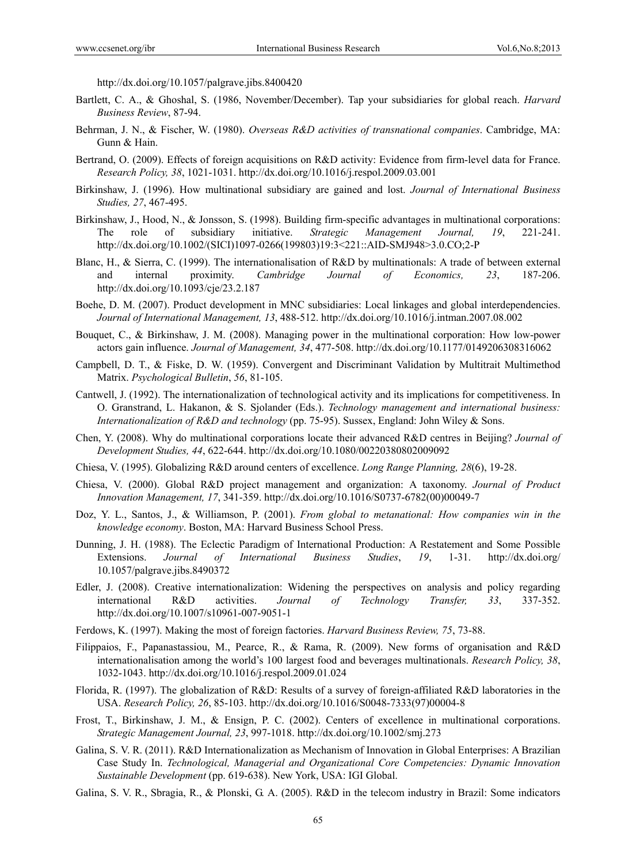http://dx.doi.org/10.1057/palgrave.jibs.8400420

- Bartlett, C. A., & Ghoshal, S. (1986, November/December). Tap your subsidiaries for global reach. *Harvard Business Review*, 87-94.
- Behrman, J. N., & Fischer, W. (1980). *Overseas R&D activities of transnational companies*. Cambridge, MA: Gunn & Hain.
- Bertrand, O. (2009). Effects of foreign acquisitions on R&D activity: Evidence from firm-level data for France. *Research Policy, 38*, 1021-1031. http://dx.doi.org/10.1016/j.respol.2009.03.001
- Birkinshaw, J. (1996). How multinational subsidiary are gained and lost. *Journal of International Business Studies, 27*, 467-495.
- Birkinshaw, J., Hood, N., & Jonsson, S. (1998). Building firm-specific advantages in multinational corporations: The role of subsidiary initiative. *Strategic Management Journal, 19*, 221-241. http://dx.doi.org/10.1002/(SICI)1097-0266(199803)19:3<221::AID-SMJ948>3.0.CO;2-P
- Blanc, H., & Sierra, C. (1999). The internationalisation of R&D by multinationals: A trade of between external and internal proximity. *Cambridge Journal of Economics, 23*, 187-206. http://dx.doi.org/10.1093/cje/23.2.187
- Boehe, D. M. (2007). Product development in MNC subsidiaries: Local linkages and global interdependencies. *Journal of International Management, 13*, 488-512. http://dx.doi.org/10.1016/j.intman.2007.08.002
- Bouquet, C., & Birkinshaw, J. M. (2008). Managing power in the multinational corporation: How low-power actors gain influence. *Journal of Management, 34*, 477-508. http://dx.doi.org/10.1177/0149206308316062
- Campbell, D. T., & Fiske, D. W. (1959). Convergent and Discriminant Validation by Multitrait Multimethod Matrix. *Psychological Bulletin*, *56*, 81-105.
- Cantwell, J. (1992). The internationalization of technological activity and its implications for competitiveness. In O. Granstrand, L. Hakanon, & S. Sjolander (Eds.). *Technology management and international business: Internationalization of R&D and technology* (pp. 75-95). Sussex, England: John Wiley & Sons.
- Chen, Y. (2008). Why do multinational corporations locate their advanced R&D centres in Beijing? *Journal of Development Studies, 44*, 622-644. http://dx.doi.org/10.1080/00220380802009092
- Chiesa, V. (1995). Globalizing R&D around centers of excellence. *Long Range Planning, 28*(6), 19-28.
- Chiesa, V. (2000). Global R&D project management and organization: A taxonomy. *Journal of Product Innovation Management, 17*, 341-359. http://dx.doi.org/10.1016/S0737-6782(00)00049-7
- Doz, Y. L., Santos, J., & Williamson, P. (2001). *From global to metanational: How companies win in the knowledge economy*. Boston, MA: Harvard Business School Press.
- Dunning, J. H. (1988). The Eclectic Paradigm of International Production: A Restatement and Some Possible Extensions. *Journal of International Business Studies*, *19*, 1-31. http://dx.doi.org/ 10.1057/palgrave.jibs.8490372
- Edler, J. (2008). Creative internationalization: Widening the perspectives on analysis and policy regarding international R&D activities. *Journal of Technology Transfer, 33*, 337-352. http://dx.doi.org/10.1007/s10961-007-9051-1
- Ferdows, K. (1997). Making the most of foreign factories. *Harvard Business Review, 75*, 73-88.
- Filippaios, F., Papanastassiou, M., Pearce, R., & Rama, R. (2009). New forms of organisation and R&D internationalisation among the world's 100 largest food and beverages multinationals. *Research Policy, 38*, 1032-1043. http://dx.doi.org/10.1016/j.respol.2009.01.024
- Florida, R. (1997). The globalization of R&D: Results of a survey of foreign-affiliated R&D laboratories in the USA. *Research Policy, 26*, 85-103. http://dx.doi.org/10.1016/S0048-7333(97)00004-8
- Frost, T., Birkinshaw, J. M., & Ensign, P. C. (2002). Centers of excellence in multinational corporations. *Strategic Management Journal, 23*, 997-1018. http://dx.doi.org/10.1002/smj.273
- Galina, S. V. R. (2011). R&D Internationalization as Mechanism of Innovation in Global Enterprises: A Brazilian Case Study In. *Technological, Managerial and Organizational Core Competencies: Dynamic Innovation Sustainable Development* (pp. 619-638). New York, USA: IGI Global.
- Galina, S. V. R., Sbragia, R., & Plonski, G. A. (2005). R&D in the telecom industry in Brazil: Some indicators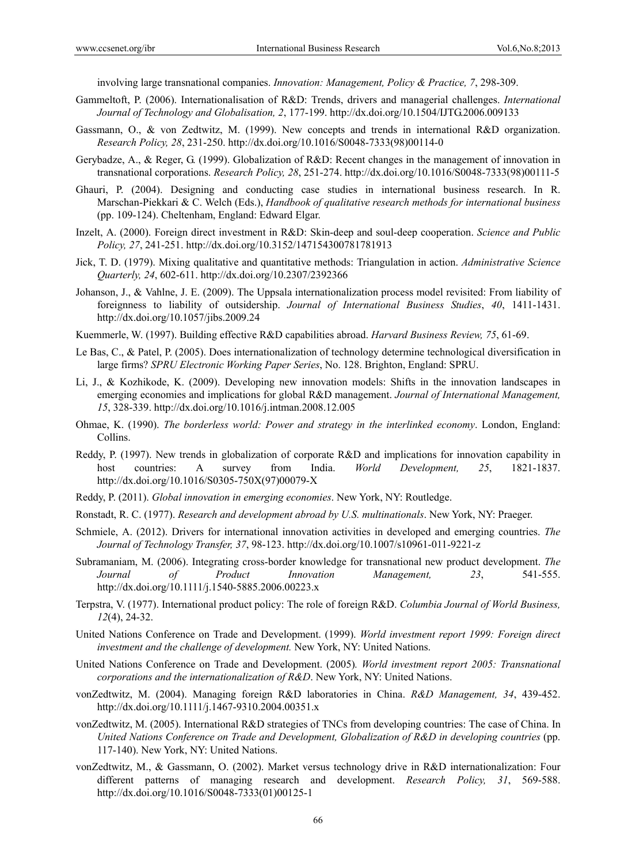involving large transnational companies. *Innovation: Management, Policy & Practice, 7*, 298-309.

- Gammeltoft, P. (2006). Internationalisation of R&D: Trends, drivers and managerial challenges. *International Journal of Technology and Globalisation, 2*, 177-199. http://dx.doi.org/10.1504/IJTG.2006.009133
- Gassmann, O., & von Zedtwitz, M. (1999). New concepts and trends in international R&D organization. *Research Policy, 28*, 231-250. http://dx.doi.org/10.1016/S0048-7333(98)00114-0
- Gerybadze, A., & Reger, G. (1999). Globalization of R&D: Recent changes in the management of innovation in transnational corporations. *Research Policy, 28*, 251-274. http://dx.doi.org/10.1016/S0048-7333(98)00111-5
- Ghauri, P. (2004). Designing and conducting case studies in international business research. In R. Marschan-Piekkari & C. Welch (Eds.), *Handbook of qualitative research methods for international business* (pp. 109-124). Cheltenham, England: Edward Elgar.
- Inzelt, A. (2000). Foreign direct investment in R&D: Skin-deep and soul-deep cooperation. *Science and Public Policy, 27*, 241-251. http://dx.doi.org/10.3152/147154300781781913
- Jick, T. D. (1979). Mixing qualitative and quantitative methods: Triangulation in action. *Administrative Science Quarterly, 24*, 602-611. http://dx.doi.org/10.2307/2392366
- Johanson, J., & Vahlne, J. E. (2009). The Uppsala internationalization process model revisited: From liability of foreignness to liability of outsidership. *Journal of International Business Studies*, *40*, 1411-1431. http://dx.doi.org/10.1057/jibs.2009.24
- Kuemmerle, W. (1997). Building effective R&D capabilities abroad. *Harvard Business Review, 75*, 61-69.
- Le Bas, C., & Patel, P. (2005). Does internationalization of technology determine technological diversification in large firms? *SPRU Electronic Working Paper Series*, No. 128. Brighton, England: SPRU.
- Li, J., & Kozhikode, K. (2009). Developing new innovation models: Shifts in the innovation landscapes in emerging economies and implications for global R&D management. *Journal of International Management, 15*, 328-339. http://dx.doi.org/10.1016/j.intman.2008.12.005
- Ohmae, K. (1990). *The borderless world: Power and strategy in the interlinked economy*. London, England: Collins.
- Reddy, P. (1997). New trends in globalization of corporate R&D and implications for innovation capability in host countries: A survey from India. *World Development, 25*, 1821-1837. http://dx.doi.org/10.1016/S0305-750X(97)00079-X
- Reddy, P. (2011). *Global innovation in emerging economies*. New York, NY: Routledge.
- Ronstadt, R. C. (1977). *Research and development abroad by U.S. multinationals*. New York, NY: Praeger.
- Schmiele, A. (2012). Drivers for international innovation activities in developed and emerging countries. *The Journal of Technology Transfer, 37*, 98-123. http://dx.doi.org/10.1007/s10961-011-9221-z
- Subramaniam, M. (2006). Integrating cross-border knowledge for transnational new product development. *The Journal of Product Innovation Management, 23*, 541-555. http://dx.doi.org/10.1111/j.1540-5885.2006.00223.x
- Terpstra, V. (1977). International product policy: The role of foreign R&D. *Columbia Journal of World Business, 12*(4), 24-32.
- United Nations Conference on Trade and Development. (1999). *World investment report 1999: Foreign direct investment and the challenge of development.* New York, NY: United Nations.
- United Nations Conference on Trade and Development. (2005)*. World investment report 2005: Transnational corporations and the internationalization of R&D*. New York, NY: United Nations.
- vonZedtwitz, M. (2004). Managing foreign R&D laboratories in China. *R&D Management, 34*, 439-452. http://dx.doi.org/10.1111/j.1467-9310.2004.00351.x
- vonZedtwitz, M. (2005). International R&D strategies of TNCs from developing countries: The case of China. In *United Nations Conference on Trade and Development, Globalization of R&D in developing countries* (pp. 117-140). New York, NY: United Nations.
- vonZedtwitz, M., & Gassmann, O. (2002). Market versus technology drive in R&D internationalization: Four different patterns of managing research and development. *Research Policy, 31*, 569-588. http://dx.doi.org/10.1016/S0048-7333(01)00125-1